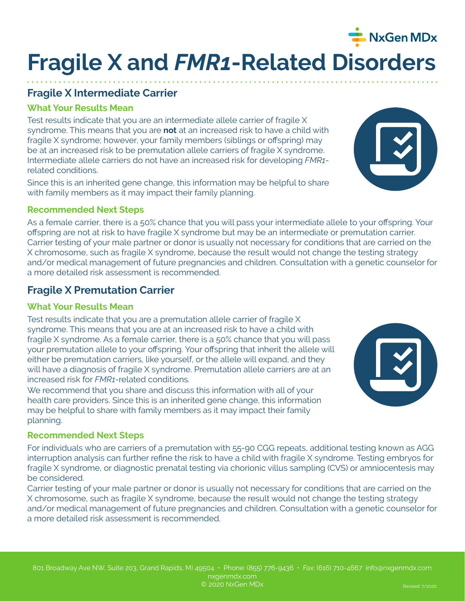# **Fragile X and** *FMR1***-Related Disorders**

## **Fragile X Intermediate Carrier**

#### **What Your Results Mean**

Test results indicate that you are an intermediate allele carrier of fragile X syndrome. This means that you are **not** at an increased risk to have a child with fragile X syndrome; however, your family members (siblings or offspring) may be at an increased risk to be premutation allele carriers of fragile X syndrome. Intermediate allele carriers do not have an increased risk for developing *FMR1* related conditions.

Since this is an inherited gene change, this information may be helpful to share with family members as it may impact their family planning.

#### **Recommended Next Steps**

As a female carrier, there is a 50% chance that you will pass your intermediate allele to your offspring. Your offspring are not at risk to have fragile X syndrome but may be an intermediate or premutation carrier. Carrier testing of your male partner or donor is usually not necessary for conditions that are carried on the X chromosome, such as fragile X syndrome, because the result would not change the testing strategy and/or medical management of future pregnancies and children. Consultation with a genetic counselor for a more detailed risk assessment is recommended.

## **Fragile X Premutation Carrier**

#### **What Your Results Mean**

Test results indicate that you are a premutation allele carrier of fragile X syndrome. This means that you are at an increased risk to have a child with fragile X syndrome. As a female carrier, there is a 50% chance that you will pass your premutation allele to your offspring. Your offspring that inherit the allele will either be premutation carriers, like yourself, or the allele will expand, and they will have a diagnosis of fragile X syndrome. Premutation allele carriers are at an increased risk for *FMR1*-related conditions.

We recommend that you share and discuss this information with all of your health care providers. Since this is an inherited gene change, this information may be helpful to share with family members as it may impact their family planning.

#### **Recommended Next Steps**

For individuals who are carriers of a premutation with 55-90 CGG repeats, additional testing known as AGG interruption analysis can further refine the risk to have a child with fragile X syndrome. Testing embryos for fragile X syndrome, or diagnostic prenatal testing via chorionic villus sampling (CVS) or amniocentesis may be considered.

Carrier testing of your male partner or donor is usually not necessary for conditions that are carried on the X chromosome, such as fragile X syndrome, because the result would not change the testing strategy and/or medical management of future pregnancies and children. Consultation with a genetic counselor for a more detailed risk assessment is recommended.





NxGen MDx